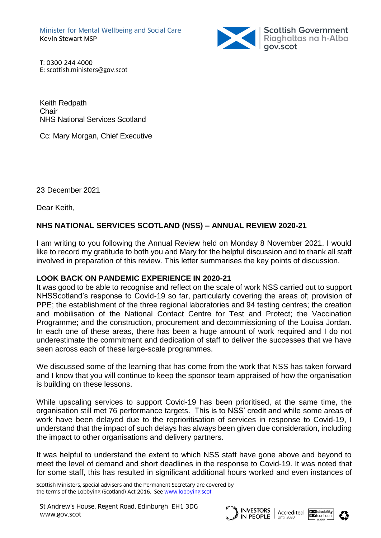

T: 0300 244 4000 E: scottish.ministers@gov.scot

Keith Redpath **Chair** NHS National Services Scotland

Cc: Mary Morgan, Chief Executive

23 December 2021

Dear Keith,

## **NHS NATIONAL SERVICES SCOTLAND (NSS) – ANNUAL REVIEW 2020-21**

I am writing to you following the Annual Review held on Monday 8 November 2021. I would like to record my gratitude to both you and Mary for the helpful discussion and to thank all staff involved in preparation of this review. This letter summarises the key points of discussion.

## **LOOK BACK ON PANDEMIC EXPERIENCE IN 2020-21**

It was good to be able to recognise and reflect on the scale of work NSS carried out to support NHSScotland's response to Covid-19 so far, particularly covering the areas of; provision of PPE; the establishment of the three regional laboratories and 94 testing centres; the creation and mobilisation of the National Contact Centre for Test and Protect; the Vaccination Programme; and the construction, procurement and decommissioning of the Louisa Jordan. In each one of these areas, there has been a huge amount of work required and I do not underestimate the commitment and dedication of staff to deliver the successes that we have seen across each of these large-scale programmes.

We discussed some of the learning that has come from the work that NSS has taken forward and I know that you will continue to keep the sponsor team appraised of how the organisation is building on these lessons.

While upscaling services to support Covid-19 has been prioritised, at the same time, the organisation still met 76 performance targets. This is to NSS' credit and while some areas of work have been delayed due to the reprioritisation of services in response to Covid-19, I understand that the impact of such delays has always been given due consideration, including the impact to other organisations and delivery partners.

It was helpful to understand the extent to which NSS staff have gone above and beyond to meet the level of demand and short deadlines in the response to Covid-19. It was noted that for some staff, this has resulted in significant additional hours worked and even instances of

Scottish Ministers, special advisers and the Permanent Secretary are covered by the terms of the Lobbying (Scotland) Act 2016. See [www.lobbying.scot](http://www.lobbying.scot/)